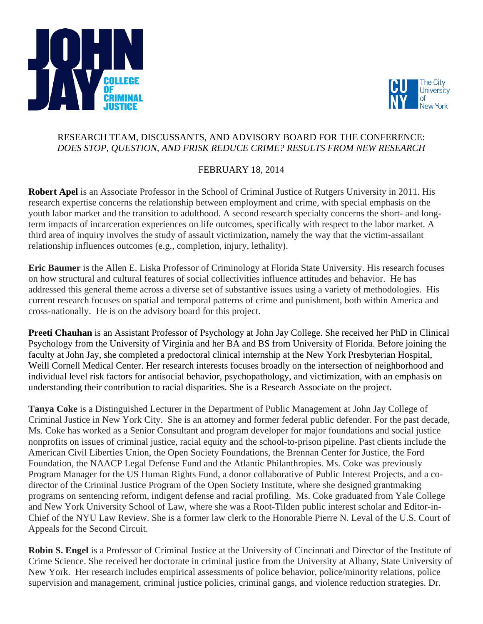



## RESEARCH TEAM, DISCUSSANTS, AND ADVISORY BOARD FOR THE CONFERENCE: *DOES STOP, QUESTION, AND FRISK REDUCE CRIME? RESULTS FROM NEW RESEARCH*

## FEBRUARY 18, 2014

**Robert Apel** is an Associate Professor in the School of Criminal Justice of Rutgers University in 2011. His research expertise concerns the relationship between employment and crime, with special emphasis on the youth labor market and the transition to adulthood. A second research specialty concerns the short- and longterm impacts of incarceration experiences on life outcomes, specifically with respect to the labor market. A third area of inquiry involves the study of assault victimization, namely the way that the victim-assailant relationship influences outcomes (e.g., completion, injury, lethality).

**Eric Baumer** is the Allen E. Liska Professor of Criminology at Florida State University. His research focuses on how structural and cultural features of social collectivities influence attitudes and behavior. He has addressed this general theme across a diverse set of substantive issues using a variety of methodologies. His current research focuses on spatial and temporal patterns of crime and punishment, both within America and cross-nationally. He is on the advisory board for this project.

**Preeti Chauhan** is an Assistant Professor of Psychology at John Jay College. She received her PhD in Clinical Psychology from the University of Virginia and her BA and BS from University of Florida. Before joining the faculty at John Jay, she completed a predoctoral clinical internship at the New York Presbyterian Hospital, Weill Cornell Medical Center. Her research interests focuses broadly on the intersection of neighborhood and individual level risk factors for antisocial behavior, psychopathology, and victimization, with an emphasis on understanding their contribution to racial disparities. She is a Research Associate on the project.

**Tanya Coke** is a Distinguished Lecturer in the Department of Public Management at John Jay College of Criminal Justice in New York City. She is an attorney and former federal public defender. For the past decade, Ms. Coke has worked as a Senior Consultant and program developer for major foundations and social justice nonprofits on issues of criminal justice, racial equity and the school-to-prison pipeline. Past clients include the American Civil Liberties Union, the Open Society Foundations, the Brennan Center for Justice, the Ford Foundation, the NAACP Legal Defense Fund and the Atlantic Philanthropies. Ms. Coke was previously Program Manager for the US Human Rights Fund, a donor collaborative of Public Interest Projects, and a codirector of the Criminal Justice Program of the Open Society Institute, where she designed grantmaking programs on sentencing reform, indigent defense and racial profiling. Ms. Coke graduated from Yale College and New York University School of Law, where she was a Root-Tilden public interest scholar and Editor-in-Chief of the NYU Law Review. She is a former law clerk to the Honorable Pierre N. Leval of the U.S. Court of Appeals for the Second Circuit.

**Robin S. Engel** is a Professor of Criminal Justice at the University of Cincinnati and Director of the Institute of Crime Science. She received her doctorate in criminal justice from the University at Albany, State University of New York. Her research includes empirical assessments of police behavior, police/minority relations, police supervision and management, criminal justice policies, criminal gangs, and violence reduction strategies. Dr.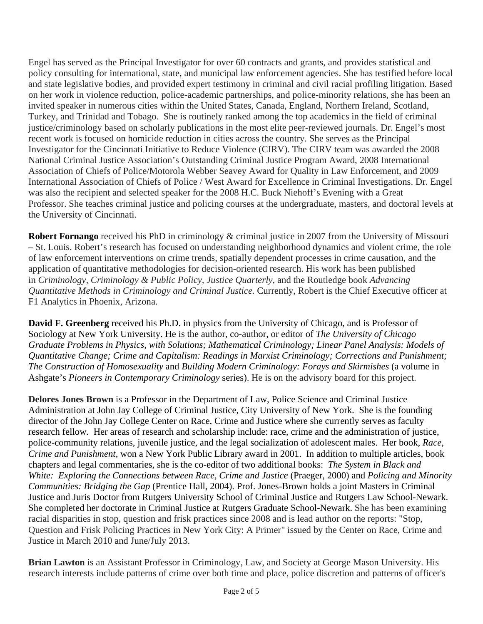Engel has served as the Principal Investigator for over 60 contracts and grants, and provides statistical and policy consulting for international, state, and municipal law enforcement agencies. She has testified before local and state legislative bodies, and provided expert testimony in criminal and civil racial profiling litigation. Based on her work in violence reduction, police-academic partnerships, and police-minority relations, she has been an invited speaker in numerous cities within the United States, Canada, England, Northern Ireland, Scotland, Turkey, and Trinidad and Tobago. She is routinely ranked among the top academics in the field of criminal justice/criminology based on scholarly publications in the most elite peer-reviewed journals. Dr. Engel's most recent work is focused on homicide reduction in cities across the country. She serves as the Principal Investigator for the Cincinnati Initiative to Reduce Violence (CIRV). The CIRV team was awarded the 2008 National Criminal Justice Association's Outstanding Criminal Justice Program Award, 2008 International Association of Chiefs of Police/Motorola Webber Seavey Award for Quality in Law Enforcement, and 2009 International Association of Chiefs of Police / West Award for Excellence in Criminal Investigations. Dr. Engel was also the recipient and selected speaker for the 2008 H.C. Buck Niehoff's Evening with a Great Professor. She teaches criminal justice and policing courses at the undergraduate, masters, and doctoral levels at the University of Cincinnati.

**Robert Fornango** received his PhD in criminology & criminal justice in 2007 from the University of Missouri – St. Louis. Robert's research has focused on understanding neighborhood dynamics and violent crime, the role of law enforcement interventions on crime trends, spatially dependent processes in crime causation, and the application of quantitative methodologies for decision-oriented research. His work has been published in *Criminology, Criminology & Public Policy, Justice Quarterly,* and the Routledge book *Advancing Quantitative Methods in Criminology and Criminal Justice.* Currently, Robert is the Chief Executive officer at F1 Analytics in Phoenix, Arizona.

**David F. Greenberg** received his Ph.D. in physics from the University of Chicago, and is Professor of Sociology at New York University. He is the author, co-author, or editor of *The University of Chicago Graduate Problems in Physics, with Solutions; Mathematical Criminology; Linear Panel Analysis: Models of Quantitative Change; Crime and Capitalism: Readings in Marxist Criminology; Corrections and Punishment; The Construction of Homosexuality* and *Building Modern Criminology: Forays and Skirmishes* (a volume in Ashgate's *Pioneers in Contemporary Criminology* series). He is on the advisory board for this project.

**Delores Jones Brown** is a Professor in the Department of Law, Police Science and Criminal Justice Administration at John Jay College of Criminal Justice, City University of New York. She is the founding director of the John Jay College Center on Race, Crime and Justice where she currently serves as faculty research fellow. Her areas of research and scholarship include: race, crime and the administration of justice, police-community relations, juvenile justice, and the legal socialization of adolescent males. Her book, *Race, Crime and Punishment*, won a New York Public Library award in 2001. In addition to multiple articles, book chapters and legal commentaries, she is the co-editor of two additional books: *The System in Black and White: Exploring the Connections between Race, Crime and Justice* (Praeger, 2000) and *Policing and Minority Communities: Bridging the Gap* (Prentice Hall, 2004). Prof. Jones-Brown holds a joint Masters in Criminal Justice and Juris Doctor from Rutgers University School of Criminal Justice and Rutgers Law School-Newark. She completed her doctorate in Criminal Justice at Rutgers Graduate School-Newark. She has been examining racial disparities in stop, question and frisk practices since 2008 and is lead author on the reports: "Stop, Question and Frisk Policing Practices in New York City: A Primer" issued by the Center on Race, Crime and Justice in March 2010 and June/July 2013.

**Brian Lawton** is an Assistant Professor in Criminology, Law, and Society at George Mason University. His research interests include patterns of crime over both time and place, police discretion and patterns of officer's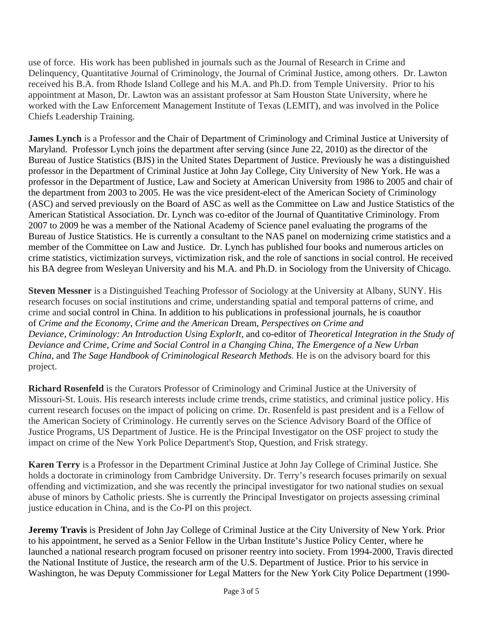use of force. His work has been published in journals such as the Journal of Research in Crime and Delinquency, Quantitative Journal of Criminology, the Journal of Criminal Justice, among others. Dr. Lawton received his B.A. from Rhode Island College and his M.A. and Ph.D. from Temple University. Prior to his appointment at Mason, Dr. Lawton was an assistant professor at Sam Houston State University, where he worked with the Law Enforcement Management Institute of Texas (LEMIT), and was involved in the Police Chiefs Leadership Training.

**James Lynch** is a Professor and the Chair of Department of Criminology and Criminal Justice at University of Maryland. Professor Lynch joins the department after serving (since June 22, 2010) as the director of the Bureau of Justice Statistics (BJS) in the United States Department of Justice. Previously he was a distinguished professor in the Department of Criminal Justice at John Jay College, City University of New York. He was a professor in the Department of Justice, Law and Society at American University from 1986 to 2005 and chair of the department from 2003 to 2005. He was the vice president-elect of the American Society of Criminology (ASC) and served previously on the Board of ASC as well as the Committee on Law and Justice Statistics of the American Statistical Association. Dr. Lynch was co-editor of the Journal of Quantitative Criminology. From 2007 to 2009 he was a member of the National Academy of Science panel evaluating the programs of the Bureau of Justice Statistics. He is currently a consultant to the NAS panel on modernizing crime statistics and a member of the Committee on Law and Justice. Dr. Lynch has published four books and numerous articles on crime statistics, victimization surveys, victimization risk, and the role of sanctions in social control. He received his BA degree from Wesleyan University and his M.A. and Ph.D. in Sociology from the University of Chicago.

**Steven Messner** is a Distinguished Teaching Professor of Sociology at the University at Albany, SUNY. His research focuses on social institutions and crime, understanding spatial and temporal patterns of crime, and crime and social control in China. In addition to his publications in professional journals, he is coauthor of *Crime and the Economy*, *Crime and the American* Dream, *Perspectives on Crime and Deviance*, *Criminology: An Introduction Using ExplorIt,* and co-editor of *Theoretical Integration in the Study of Deviance and Crime, Crime and Social Control in a Changing China, The Emergence of a New Urban China, and The Sage Handbook of Criminological Research Methods.* He is on the advisory board for this project.

**Richard Rosenfeld** is the Curators Professor of Criminology and Criminal Justice at the University of Missouri-St. Louis. His research interests include crime trends, crime statistics, and criminal justice policy. His current research focuses on the impact of policing on crime. Dr. Rosenfeld is past president and is a Fellow of the American Society of Criminology. He currently serves on the Science Advisory Board of the Office of Justice Programs, US Department of Justice. He is the Principal Investigator on the OSF project to study the impact on crime of the New York Police Department's Stop, Question, and Frisk strategy.

**Karen Terry** is a Professor in the Department Criminal Justice at John Jay College of Criminal Justice. She holds a doctorate in criminology from Cambridge University. Dr. Terry's research focuses primarily on sexual offending and victimization, and she was recently the principal investigator for two national studies on sexual abuse of minors by Catholic priests. She is currently the Principal Investigator on projects assessing criminal justice education in China, and is the Co-PI on this project.

**Jeremy Travis** is President of John Jay College of Criminal Justice at the City University of New York. Prior to his appointment, he served as a Senior Fellow in the Urban Institute's Justice Policy Center, where he launched a national research program focused on prisoner reentry into society. From 1994-2000, Travis directed the National Institute of Justice, the research arm of the U.S. Department of Justice. Prior to his service in Washington, he was Deputy Commissioner for Legal Matters for the New York City Police Department (1990-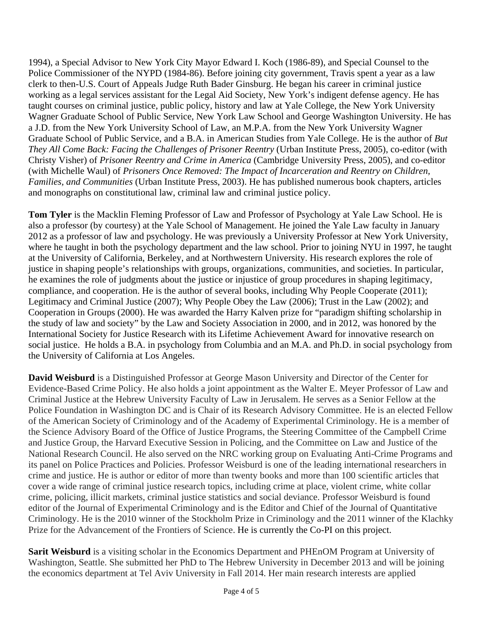1994), a Special Advisor to New York City Mayor Edward I. Koch (1986-89), and Special Counsel to the Police Commissioner of the NYPD (1984-86). Before joining city government, Travis spent a year as a law clerk to then-U.S. Court of Appeals Judge Ruth Bader Ginsburg. He began his career in criminal justice working as a legal services assistant for the Legal Aid Society, New York's indigent defense agency. He has taught courses on criminal justice, public policy, history and law at Yale College, the New York University Wagner Graduate School of Public Service, New York Law School and George Washington University. He has a J.D. from the New York University School of Law, an M.P.A. from the New York University Wagner Graduate School of Public Service, and a B.A. in American Studies from Yale College. He is the author of *But They All Come Back: Facing the Challenges of Prisoner Reentry* (Urban Institute Press, 2005), co-editor (with Christy Visher) of *Prisoner Reentry and Crime in America* (Cambridge University Press, 2005), and co-editor (with Michelle Waul) of *Prisoners Once Removed: The Impact of Incarceration and Reentry on Children, Families, and Communities* (Urban Institute Press, 2003). He has published numerous book chapters, articles and monographs on constitutional law, criminal law and criminal justice policy.

**Tom Tyler** is the Macklin Fleming Professor of Law and Professor of Psychology at Yale Law School. He is also a professor (by courtesy) at the Yale School of Management. He joined the Yale Law faculty in January 2012 as a professor of law and psychology. He was previously a University Professor at New York University, where he taught in both the psychology department and the law school. Prior to joining NYU in 1997, he taught at the University of California, Berkeley, and at Northwestern University. His research explores the role of justice in shaping people's relationships with groups, organizations, communities, and societies. In particular, he examines the role of judgments about the justice or injustice of group procedures in shaping legitimacy, compliance, and cooperation. He is the author of several books, including Why People Cooperate (2011); Legitimacy and Criminal Justice (2007); Why People Obey the Law (2006); Trust in the Law (2002); and Cooperation in Groups (2000). He was awarded the Harry Kalven prize for "paradigm shifting scholarship in the study of law and society" by the Law and Society Association in 2000, and in 2012, was honored by the International Society for Justice Research with its Lifetime Achievement Award for innovative research on social justice. He holds a B.A. in psychology from Columbia and an M.A. and Ph.D. in social psychology from the University of California at Los Angeles.

**David Weisburd** is a Distinguished Professor at George Mason University and Director of the Center for Evidence-Based Crime Policy. He also holds a joint appointment as the Walter E. Meyer Professor of Law and Criminal Justice at the Hebrew University Faculty of Law in Jerusalem. He serves as a Senior Fellow at the Police Foundation in Washington DC and is Chair of its Research Advisory Committee. He is an elected Fellow of the American Society of Criminology and of the Academy of Experimental Criminology. He is a member of the Science Advisory Board of the Office of Justice Programs, the Steering Committee of the Campbell Crime and Justice Group, the Harvard Executive Session in Policing, and the Committee on Law and Justice of the National Research Council. He also served on the NRC working group on Evaluating Anti-Crime Programs and its panel on Police Practices and Policies. Professor Weisburd is one of the leading international researchers in crime and justice. He is author or editor of more than twenty books and more than 100 scientific articles that cover a wide range of criminal justice research topics, including crime at place, violent crime, white collar crime, policing, illicit markets, criminal justice statistics and social deviance. Professor Weisburd is found editor of the Journal of Experimental Criminology and is the Editor and Chief of the Journal of Quantitative Criminology. He is the 2010 winner of the Stockholm Prize in Criminology and the 2011 winner of the Klachky Prize for the Advancement of the Frontiers of Science. He is currently the Co-PI on this project.

**Sarit Weisburd** is a visiting scholar in the Economics Department and PHEnOM Program at University of Washington, Seattle. She submitted her PhD to The Hebrew University in December 2013 and will be joining the economics department at Tel Aviv University in Fall 2014. Her main research interests are applied